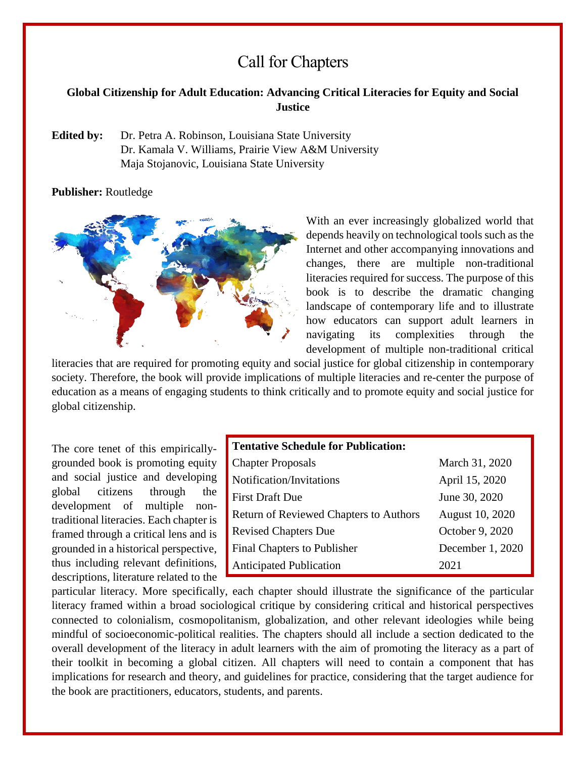# Call for Chapters

#### **Global Citizenship for Adult Education: Advancing Critical Literacies for Equity and Social Justice**

**Edited by:** Dr. Petra A. Robinson, Louisiana State University Dr. Kamala V. Williams, Prairie View A&M University Maja Stojanovic, Louisiana State University

**Publisher:** Routledge



With an ever increasingly globalized world that depends heavily on technological tools such as the Internet and other accompanying innovations and changes, there are multiple non**-**traditional literacies required for success. The purpose of this book is to describe the dramatic changing landscape of contemporary life and to illustrate how educators can support adult learners in navigating its complexities through the development of multiple non-traditional critical

literacies that are required for promoting equity and social justice for global citizenship in contemporary society. Therefore, the book will provide implications of multiple literacies and re-center the purpose of education as a means of engaging students to think critically and to promote equity and social justice for global citizenship.

The core tenet of this empiricallygrounded book is promoting equity and social justice and developing global citizens through the development of multiple nontraditional literacies. Each chapter is framed through a critical lens and is grounded in a historical perspective, thus including relevant definitions, descriptions, literature related to the

| <b>Tentative Schedule for Publication:</b>    |                  |
|-----------------------------------------------|------------------|
| <b>Chapter Proposals</b>                      | March 31, 2020   |
| Notification/Invitations                      | April 15, 2020   |
| <b>First Draft Due</b>                        | June 30, 2020    |
| <b>Return of Reviewed Chapters to Authors</b> | August 10, 2020  |
| <b>Revised Chapters Due</b>                   | October 9, 2020  |
| Final Chapters to Publisher                   | December 1, 2020 |
| <b>Anticipated Publication</b>                | 2021             |

particular literacy. More specifically, each chapter should illustrate the significance of the particular literacy framed within a broad sociological critique by considering critical and historical perspectives connected to colonialism, cosmopolitanism, globalization, and other relevant ideologies while being mindful of socioeconomic-political realities. The chapters should all include a section dedicated to the overall development of the literacy in adult learners with the aim of promoting the literacy as a part of their toolkit in becoming a global citizen. All chapters will need to contain a component that has implications for research and theory, and guidelines for practice, considering that the target audience for the book are practitioners, educators, students, and parents.